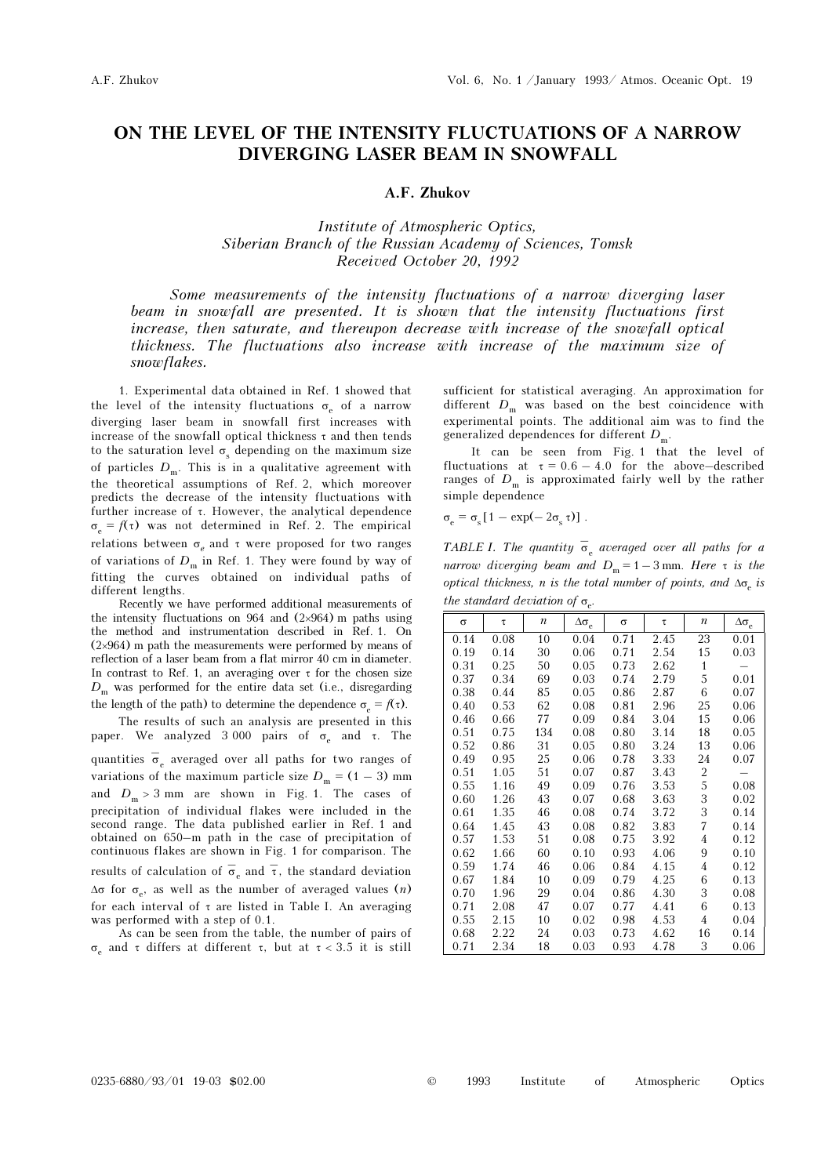## ON THE LEVEL OF THE INTENSITY FLUCTUATIONS OF A NARROW DIVERGING LASER BEAM IN SNOWFALL

## A.F. Zhukov

Institute of Atmospheric Optics, Siberian Branch of the Russian Academy of Sciences, Tomsk Received October 20, 1992

Some measurements of the intensity fluctuations of a narrow diverging laser beam in snowfall are presented. It is shown that the intensity fluctuations first increase, then saturate, and thereupon decrease with increase of the snowfall optical thickness. The fluctuations also increase with increase of the maximum size of snowflakes.

1. Experimental data obtained in Ref. 1 showed that the level of the intensity fluctuations  $\sigma_e$  of a narrow diverging laser beam in snowfall first increases with increase of the snowfall optical thickness  $\tau$  and then tends to the saturation level  $\sigma_s$  depending on the maximum size of particles  $D_m$ . This is in a qualitative agreement with the theoretical assumptions of Ref. 2, which moreover predicts the decrease of the intensity fluctuations with further increase of τ. However, the analytical dependence  $\sigma_e = f(\tau)$  was not determined in Ref. 2. The empirical relations between  $\sigma_e$  and  $\tau$  were proposed for two ranges of variations of  $D_m$  in Ref. 1. They were found by way of fitting the curves obtained on individual paths of different lengths.

Recently we have performed additional measurements of the intensity fluctuations on 964 and  $(2\times964)$  m paths using the method and instrumentation described in Ref. 1. On (2×964) m path the measurements were performed by means of reflection of a laser beam from a flat mirror 40 cm in diameter. In contrast to Ref. 1, an averaging over  $\tau$  for the chosen size  $D_m$  was performed for the entire data set (i.e., disregarding the length of the path) to determine the dependence  $\sigma_e = f(\tau)$ .

The results of such an analysis are presented in this paper. We analyzed 3 000 pairs of  $\sigma_e$  and τ. The

quantities  $\bar{\sigma}_{e}$  averaged over all paths for two ranges of variations of the maximum particle size  $D_m = (1 - 3)$  mm and  $D_m > 3$  mm are shown in Fig. 1. The cases of precipitation of individual flakes were included in the second range. The data published earlier in Ref. 1 and obtained on 650–m path in the case of precipitation of continuous flakes are shown in Fig. 1 for comparison. The results of calculation of  $\overline{\sigma}_e$  and  $\overline{\tau}$ , the standard deviation  $\Delta\sigma$  for  $\sigma_e$ , as well as the number of averaged values  $(n)$ for each interval of τ are listed in Table I. An averaging was performed with a step of 0.1.

As can be seen from the table, the number of pairs of σe and τ differs at different τ, but at τ < 3.5 it is still sufficient for statistical averaging. An approximation for different  $D_m$  was based on the best coincidence with experimental points. The additional aim was to find the generalized dependences for different  $D_m$ .

It can be seen from Fig. 1 that the level of fluctuations at  $\tau = 0.6 - 4.0$  for the above–described ranges of  $D_m$  is approximated fairly well by the rather simple dependence

 $\sigma_{\rm e} = \sigma_{\rm s} [1 - \exp(-2\sigma_{\rm s} \tau)]$ .

TABLE I. The quantity  $\overline{\sigma}_{e}$  averaged over all paths for a narrow diverging beam and  $D_m = 1 - 3$  mm. Here  $\tau$  is the optical thickness, n is the total number of points, and  $\Delta\sigma_e$  is the standard deviation of  $\sigma_{e}$ .

| $\sigma$ | $\tau$ | $\boldsymbol{n}$ | $\Delta\sigma_{\rm e}$ | $\sigma$ | $\tau$ | $\boldsymbol{n}$ | $\Delta\sigma_{\rm e}$ |
|----------|--------|------------------|------------------------|----------|--------|------------------|------------------------|
| 0.14     | 0.08   | 10               | 0.04                   | 0.71     | 2.45   | 23               | 0.01                   |
| 0.19     | 0.14   | 30               | 0.06                   | 0.71     | 2.54   | 15               | 0.03                   |
| 0.31     | 0.25   | 50               | 0.05                   | 0.73     | 2.62   | $\mathbf{1}$     |                        |
| 0.37     | 0.34   | 69               | 0.03                   | 0.74     | 2.79   | 5                | 0.01                   |
| 0.38     | 0.44   | 85               | 0.05                   | 0.86     | 2.87   | 6                | 0.07                   |
| 0.40     | 0.53   | 62               | 0.08                   | 0.81     | 2.96   | 25               | 0.06                   |
| 0.46     | 0.66   | 77               | 0.09                   | 0.84     | 3.04   | 15               | 0.06                   |
| 0.51     | 0.75   | 134              | 0.08                   | 0.80     | 3.14   | 18               | 0.05                   |
| 0.52     | 0.86   | 31               | 0.05                   | 0.80     | 3.24   | 13               | 0.06                   |
| 0.49     | 0.95   | 25               | 0.06                   | 0.78     | 3.33   | 24               | 0.07                   |
| 0.51     | 1.05   | 51               | 0.07                   | 0.87     | 3.43   | 2                |                        |
| 0.55     | 1.16   | 49               | 0.09                   | 0.76     | 3.53   | 5                | 0.08                   |
| 0.60     | 1.26   | 43               | 0.07                   | 0.68     | 3.63   | 3                | 0.02                   |
| 0.61     | 1.35   | 46               | 0.08                   | 0.74     | 3.72   | 3                | 0.14                   |
| 0.64     | 1.45   | 43               | 0.08                   | 0.82     | 3.83   | 7                | 0.14                   |
| 0.57     | 1.53   | 51               | 0.08                   | 0.75     | 3.92   | 4                | 0.12                   |
| 0.62     | 1.66   | 60               | 0.10                   | 0.93     | 4.06   | 9                | 0.10                   |
| 0.59     | 1.74   | 46               | 0.06                   | 0.84     | 4.15   | 4                | 0.12                   |
| 0.67     | 1.84   | 10               | 0.09                   | 0.79     | 4.25   | 6                | 0.13                   |
| 0.70     | 1.96   | 29               | 0.04                   | 0.86     | 4.30   | 3                | 0.08                   |
| 0.71     | 2.08   | 47               | 0.07                   | 0.77     | 4.41   | 6                | 0.13                   |
| 0.55     | 2.15   | 10               | 0.02                   | 0.98     | 4.53   | 4                | 0.04                   |
| 0.68     | 2.22   | 24               | 0.03                   | 0.73     | 4.62   | 16               | 0.14                   |
| 0.71     | 2.34   | 18               | 0.03                   | 0.93     | 4.78   | 3                | 0.06                   |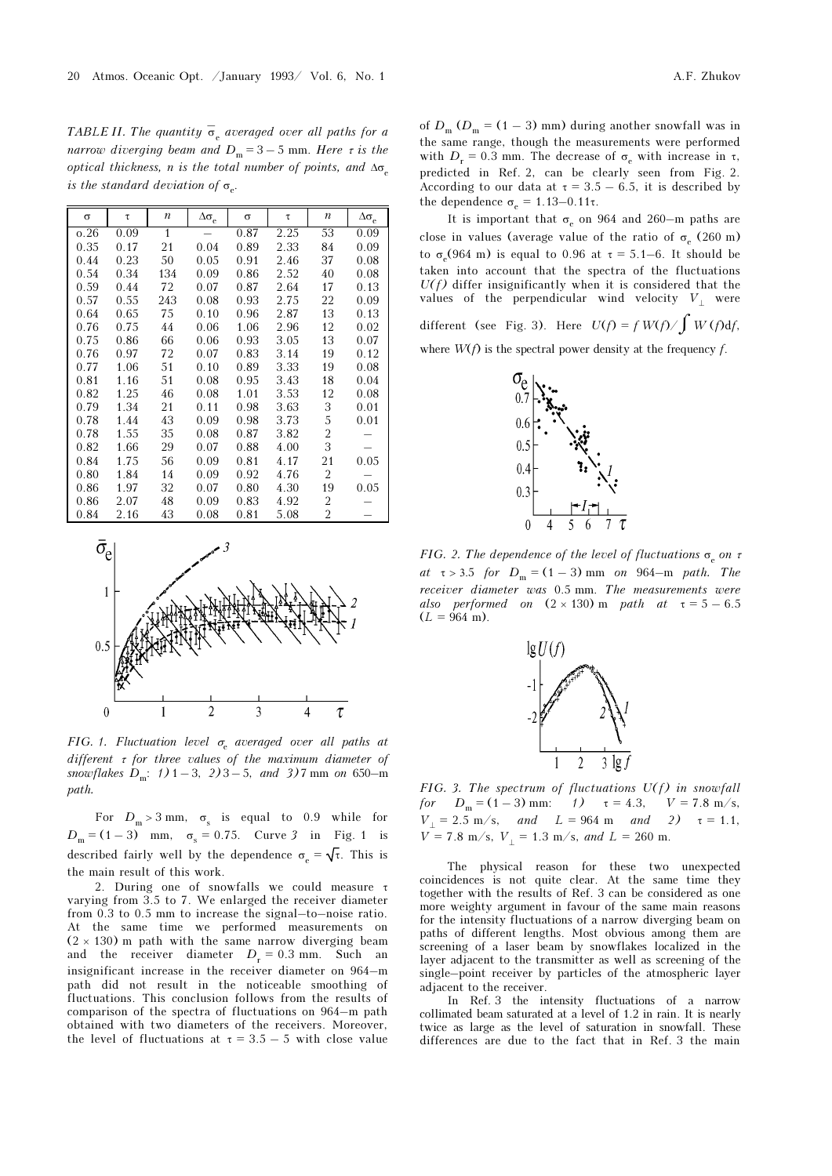TABLE II. The quantity  $\bar{\sigma}_e$  averaged over all paths for a narrow diverging beam and  $D_m = 3 - 5$  mm. Here  $\tau$  is the optical thickness, n is the total number of points, and  $\Delta\sigma$ is the standard deviation of  $\sigma_{e}$ .

| $\sigma$ | τ    | n            | $\Delta\sigma_{\rm e}$ | σ    | τ    | n              | $\Delta\sigma_{\rm e}$ |
|----------|------|--------------|------------------------|------|------|----------------|------------------------|
| 0.26     | 0.09 | $\mathbf{1}$ |                        | 0.87 | 2.25 | 53             | 0.09                   |
| 0.35     | 0.17 | 21           | 0.04                   | 0.89 | 2.33 | 84             | 0.09                   |
| 0.44     | 0.23 | 50           | 0.05                   | 0.91 | 2.46 | 37             | 0.08                   |
| 0.54     | 0.34 | 134          | 0.09                   | 0.86 | 2.52 | 40             | 0.08                   |
| 0.59     | 0.44 | 72           | 0.07                   | 0.87 | 2.64 | 17             | 0.13                   |
| 0.57     | 0.55 | 243          | 0.08                   | 0.93 | 2.75 | 22             | 0.09                   |
| 0.64     | 0.65 | 75           | 0.10                   | 0.96 | 2.87 | 13             | 0.13                   |
| 0.76     | 0.75 | 44           | 0.06                   | 1.06 | 2.96 | 12             | 0.02                   |
| 0.75     | 0.86 | 66           | 0.06                   | 0.93 | 3.05 | 13             | 0.07                   |
| 0.76     | 0.97 | 72           | 0.07                   | 0.83 | 3.14 | 19             | 0.12                   |
| 0.77     | 1.06 | 51           | 0.10                   | 0.89 | 3.33 | 19             | 0.08                   |
| 0.81     | 1.16 | 51           | 0.08                   | 0.95 | 3.43 | 18             | 0.04                   |
| 0.82     | 1.25 | 46           | 0.08                   | 1.01 | 3.53 | 12             | 0.08                   |
| 0.79     | 1.34 | 21           | 0.11                   | 0.98 | 3.63 | 3              | 0.01                   |
| 0.78     | 1.44 | 43           | 0.09                   | 0.98 | 3.73 | 5              | 0.01                   |
| 0.78     | 1.55 | 35           | 0.08                   | 0.87 | 3.82 | $\overline{2}$ |                        |
| 0.82     | 1.66 | 29           | 0.07                   | 0.88 | 4.00 | 3              |                        |
| 0.84     | 1.75 | 56           | 0.09                   | 0.81 | 4.17 | 21             | 0.05                   |
| 0.80     | 1.84 | 14           | 0.09                   | 0.92 | 4.76 | 2              |                        |
| 0.86     | 1.97 | 32           | 0.07                   | 0.80 | 4.30 | 19             | 0.05                   |
| 0.86     | 2.07 | 48           | 0.09                   | 0.83 | 4.92 | 2              |                        |
| 0.84     | 2.16 | 43           | 0.08                   | 0.81 | 5.08 | $\overline{2}$ |                        |



FIG. 1. Fluctuation level  $\sigma_{\rm e}$  averaged over all paths at different  $\tau$  for three values of the maximum diameter of snowflakes  $D_m$ : 1) 1 – 3, 2) 3 – 5, and 3) 7 mm on 650–m path.

For  $D_m > 3$  mm,  $\sigma_s$  is equal to 0.9 while for  $D_m = (1 - 3)$  mm,  $\sigma_s = 0.75$ . Curve 3 in Fig. 1 is described fairly well by the dependence  $\sigma_{\alpha} = \sqrt{\tau}$ . This is the main result of this work.

2. During one of snowfalls we could measure τ varying from 3.5 to 7. We enlarged the receiver diameter from 0.3 to 0.5 mm to increase the signal–to–noise ratio. At the same time we performed measurements on  $(2 \times 130)$  m path with the same narrow diverging beam and the receiver diameter  $D_r = 0.3$  mm. Such an insignificant increase in the receiver diameter on 964–m path did not result in the noticeable smoothing of fluctuations. This conclusion follows from the results of comparison of the spectra of fluctuations on 964–m path obtained with two diameters of the receivers. Moreover, the level of fluctuations at  $\tau = 3.5 - 5$  with close value

of  $D_m$  ( $D_m$  = (1 – 3) mm) during another snowfall was in the same range, though the measurements were performed with  $D_r = 0.3$  mm. The decrease of  $\sigma_e$  with increase in  $\tau$ , predicted in Ref. 2, can be clearly seen from Fig. 2. According to our data at  $\tau = 3.5 - 6.5$ , it is described by the dependence  $\sigma_e = 1.13-0.11\tau$ .

It is important that  $\sigma_e$  on 964 and 260–m paths are close in values (average value of the ratio of  $\sigma_e$  (260 m) to  $\sigma_e$ (964 m) is equal to 0.96 at  $\tau = 5.1-6$ . It should be taken into account that the spectra of the fluctuations  $U(f)$  differ insignificantly when it is considered that the values of the perpendicular wind velocity  $V_+$  were

different (see Fig. 3). Here  $U(f) = f W(f) / \int W(f) df$ ,

where  $W(f)$  is the spectral power density at the frequency f.



FIG. 2. The dependence of the level of fluctuations  $\sigma_e$  on  $\tau$ at  $\tau > 3.5$  for  $D_m = (1 - 3)$  mm on 964–m path. The receiver diameter was 0.5 mm. The measurements were also performed on  $(2 \times 130)$  m path at  $\tau = 5 - 6.5$  $(L = 964 \text{ m}).$ 



FIG. 3. The spectrum of fluctuations  $U(f)$  in snowfall for  $D_m = (1 - 3)$  mm:  $\tau = 4.3$ ,  $V = 7.8$  m/s,  $V_{\perp} = 2.5 \text{ m/s}, \quad \text{and} \quad L = 964 \text{ m} \quad \text{and} \quad 2) \quad \tau = 1.1,$  $V = 7.8$  m/s,  $V_1 = 1.3$  m/s, and  $L = 260$  m.

The physical reason for these two unexpected coincidences is not quite clear. At the same time they together with the results of Ref. 3 can be considered as one more weighty argument in favour of the same main reasons for the intensity fluctuations of a narrow diverging beam on paths of different lengths. Most obvious among them are screening of a laser beam by snowflakes localized in the layer adjacent to the transmitter as well as screening of the single–point receiver by particles of the atmospheric layer adjacent to the receiver.

In Ref. 3 the intensity fluctuations of a narrow collimated beam saturated at a level of 1.2 in rain. It is nearly twice as large as the level of saturation in snowfall. These differences are due to the fact that in Ref. 3 the main